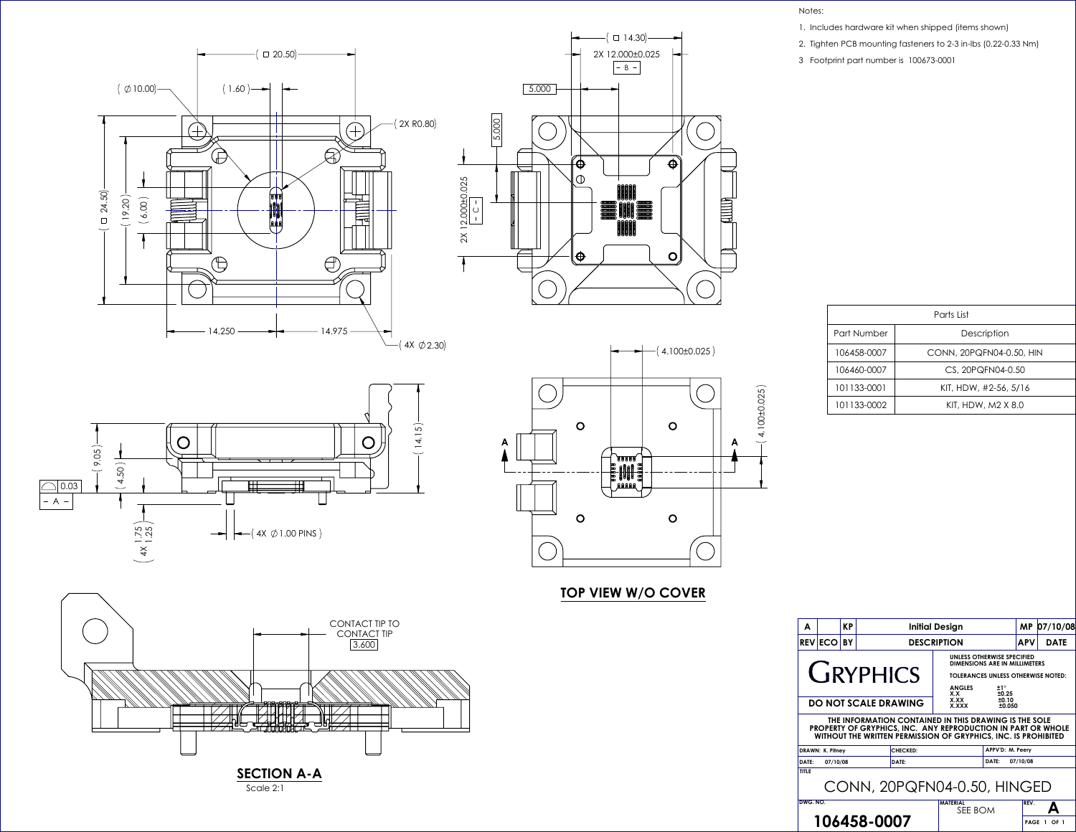



 $(4X \emptyset 2.30)$ 





## **TOP VIEW W/O COVER**



| A                                                                                                                                                                                                                                         |                 | <b>KP</b> |                  | <b>Initial Design</b>                                                                                                                                             |       |          |                           |  |  |
|-------------------------------------------------------------------------------------------------------------------------------------------------------------------------------------------------------------------------------------------|-----------------|-----------|------------------|-------------------------------------------------------------------------------------------------------------------------------------------------------------------|-------|----------|---------------------------|--|--|
|                                                                                                                                                                                                                                           | <b>REVIECOI</b> | BY        |                  | <b>DESCRIPTION</b>                                                                                                                                                |       |          | <b>APV</b><br><b>DATE</b> |  |  |
|                                                                                                                                                                                                                                           |                 |           | <b>CIRYPHICS</b> | UNLESS OTHERWISE SPECIFIED<br>DIMENSIONS ARE IN MILLIMETERS<br><b>TOLERANCES UNLESS OTHERWISE NOTED:</b><br><b>ANGLES</b><br>±1°<br>±0.25<br>X.X<br>X.XX<br>±0.10 |       |          |                           |  |  |
| <b>DO NOT SCALE DRAWING</b><br>X.XXX<br>±0.050<br>THE INFORMATION CONTAINED IN THIS DRAWING IS THE SOLE<br>PROPERTY OF GRYPHICS, INC. ANY REPRODUCTION IN PART OR WHOLE<br>WITHOUT THE WRITTEN PERMISSION OF GRYPHICS, INC. IS PROHIBITED |                 |           |                  |                                                                                                                                                                   |       |          |                           |  |  |
| <b>CHECKED:</b><br><b>DRAWN: K. Pitney</b>                                                                                                                                                                                                |                 |           |                  | APPV'D: M. Peery                                                                                                                                                  |       |          |                           |  |  |
| DATE:                                                                                                                                                                                                                                     | 07/10/08        |           | DATE:            |                                                                                                                                                                   | DATE: | 07/10/08 |                           |  |  |
| <b>TITLE</b><br>CONN, 20PQFN04-0.50, HINGED                                                                                                                                                                                               |                 |           |                  |                                                                                                                                                                   |       |          |                           |  |  |
| DWG. NO.                                                                                                                                                                                                                                  |                 |           | 106458-0007      | <b>MATERIAL</b><br>SEE BOM                                                                                                                                        |       | REV.     | PAGE 1 OF 1               |  |  |

| Parts List  |                          |  |  |  |  |
|-------------|--------------------------|--|--|--|--|
| Part Number | Description              |  |  |  |  |
| 106458-0007 | CONN, 20PQFN04-0.50, HIN |  |  |  |  |
| 106460-0007 | CS, 20PQFN04-0.50        |  |  |  |  |
| 101133-0001 | KIT, HDW, #2-56, 5/16    |  |  |  |  |
| 101133-0002 | KIT, HDW, M2 X 8.0       |  |  |  |  |

Notes:

- 1. Includes hardware kit when shipped (items shown)
- 2. Tighten PCB mounting fasteners to 2-3 in-lbs (0.22-0.33 Nm)
- 3 Footprint part number is 100673-0001